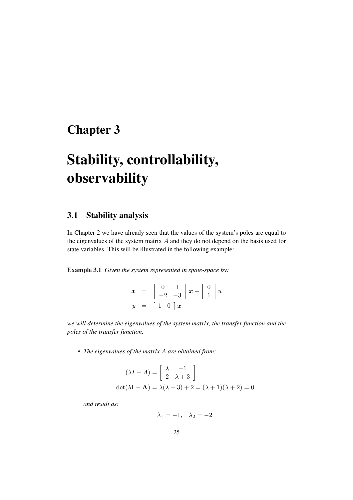# Chapter 3

# Stability, controllability, observability

## 3.1 Stability analysis

In Chapter 2 we have already seen that the values of the system's poles are equal to the eigenvalues of the system matrix  $A$  and they do not depend on the basis used for state variables. This will be illustrated in the following example:

Example 3.1 *Given the system represented in spate-space by:*

|  | $\dot{\boldsymbol{x}} \hspace{2mm} = \hspace{2mm} \left[ \begin{array}{rr} 0 & 1 \\ -2 & -3 \end{array} \right] \boldsymbol{x} + \left[ \begin{array}{r} 0 \\ 1 \end{array} \right] \boldsymbol{u}$ |
|--|-----------------------------------------------------------------------------------------------------------------------------------------------------------------------------------------------------|
|  | $y = \begin{bmatrix} 1 & 0 \end{bmatrix} x$                                                                                                                                                         |

*we will determine the eigenvalues of the system matrix, the transfer function and the poles of the transfer function.*

*• The eigenvalues of the matrix* A *are obtained from:*

$$
(\lambda I - A) = \begin{bmatrix} \lambda & -1 \\ 2 & \lambda + 3 \end{bmatrix}
$$

$$
det(\lambda \mathbf{I} - \mathbf{A}) = \lambda(\lambda + 3) + 2 = (\lambda + 1)(\lambda + 2) = 0
$$

*and result as:*

 $\lambda_1 = -1, \quad \lambda_2 = -2$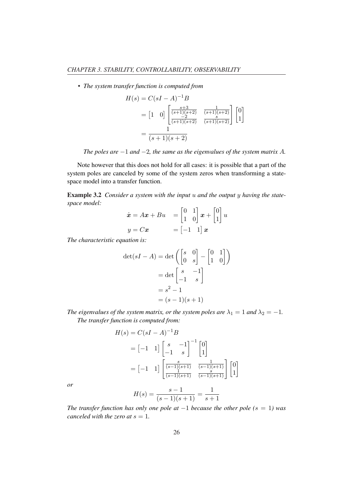*• The system transfer function is computed from*

$$
H(s) = C(sI - A)^{-1}B
$$
  
=  $\begin{bmatrix} 1 & 0 \end{bmatrix} \begin{bmatrix} \frac{s+3}{(s+1)(s+2)} & \frac{1}{(s+1)(s+2)} \\ \frac{-2}{(s+1)(s+2)} & \frac{s}{(s+1)(s+2)} \end{bmatrix} \begin{bmatrix} 0 \\ 1 \end{bmatrix}$   
=  $\frac{1}{(s+1)(s+2)}$ 

*The poles are* −1 *and* −2*, the same as the eigenvalues of the system matrix* A*.*

Note however that this does not hold for all cases: it is possible that a part of the system poles are canceled by some of the system zeros when transforming a statespace model into a transfer function.

Example 3.2 *Consider a system with the input* u *and the output* y *having the statespace model:* · ·  $\overline{a}$ 

$$
\dot{\boldsymbol{x}} = A\boldsymbol{x} + Bu \quad = \begin{bmatrix} 0 & 1 \\ 1 & 0 \end{bmatrix} \boldsymbol{x} + \begin{bmatrix} 0 \\ 1 \end{bmatrix} u
$$
\n
$$
y = C\boldsymbol{x} \qquad = \begin{bmatrix} -1 & 1 \end{bmatrix} \boldsymbol{x}
$$

*The characteristic equation is:*

$$
\det(sI - A) = \det\left(\begin{bmatrix} s & 0 \\ 0 & s \end{bmatrix} - \begin{bmatrix} 0 & 1 \\ 1 & 0 \end{bmatrix}\right)
$$

$$
= \det\begin{bmatrix} s & -1 \\ -1 & s \end{bmatrix}
$$

$$
= s^2 - 1
$$

$$
= (s - 1)(s + 1)
$$

*The eigenvalues of the system matrix, or the system poles are*  $\lambda_1 = 1$  *and*  $\lambda_2 = -1$ *. The transfer function is computed from:*

$$
H(s) = C(sI - A)^{-1}B
$$
  
=  $\begin{bmatrix} -1 & 1 \end{bmatrix} \begin{bmatrix} s & -1 \\ -1 & s \end{bmatrix}^{-1} \begin{bmatrix} 0 \\ 1 \end{bmatrix}$   
=  $\begin{bmatrix} -1 & 1 \end{bmatrix} \begin{bmatrix} \frac{s}{(s-1)(s+1)} & \frac{1}{(s-1)(s+1)} \\ \frac{1}{(s-1)(s+1)} & \frac{s}{(s-1)(s+1)} \end{bmatrix} \begin{bmatrix} 0 \\ 1 \end{bmatrix}$ 

*or*

$$
H(s) = \frac{s-1}{(s-1)(s+1)} = \frac{1}{s+1}
$$

*The transfer function has only one pole at*  $-1$  *because the other pole* ( $s = 1$ ) was *canceled with the zero at*  $s = 1$ *.*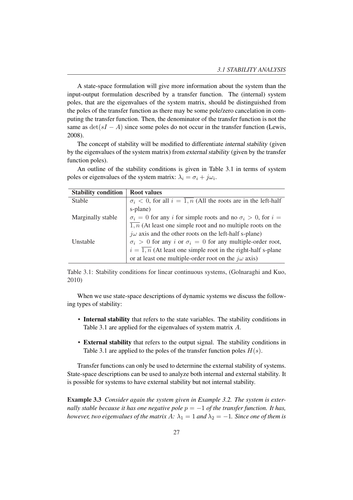A state-space formulation will give more information about the system than the input-output formulation described by a transfer function. The (internal) system poles, that are the eigenvalues of the system matrix, should be distinguished from the poles of the transfer function as there may be some pole/zero cancelation in computing the transfer function. Then, the denominator of the transfer function is not the same as  $\det(sI - A)$  since some poles do not occur in the transfer function (Lewis, 2008).

The concept of stability will be modified to differentiate internal stability (given by the eigenvalues of the system matrix) from external stability (given by the transfer function poles).

An outline of the stability conditions is given in Table 3.1 in terms of system poles or eigenvalues of the system matrix:  $\lambda_i = \sigma_i + j\omega_i$ .

| <b>Stability condition</b> | <b>Root values</b>                                                                 |
|----------------------------|------------------------------------------------------------------------------------|
| Stable                     | $\sigma_i$ < 0, for all $i = \overline{1,n}$ (All the roots are in the left-half   |
|                            | s-plane)                                                                           |
| Marginally stable          | $\sigma_i = 0$ for any <i>i</i> for simple roots and no $\sigma_i > 0$ , for $i =$ |
|                            | $\overline{1,n}$ (At least one simple root and no multiple roots on the            |
|                            | $j\omega$ axis and the other roots on the left-half s-plane)                       |
| Unstable                   | $\sigma_i > 0$ for any i or $\sigma_i = 0$ for any multiple-order root,            |
|                            | $i = \overline{1, n}$ (At least one simple root in the right-half s-plane          |
|                            | or at least one multiple-order root on the $j\omega$ axis)                         |

Table 3.1: Stability conditions for linear continuous systems, (Golnaraghi and Kuo, 2010)

When we use state-space descriptions of dynamic systems we discuss the following types of stability:

- Internal stability that refers to the state variables. The stability conditions in Table 3.1 are applied for the eigenvalues of system matrix A.
- External stability that refers to the output signal. The stability conditions in Table 3.1 are applied to the poles of the transfer function poles  $H(s)$ .

Transfer functions can only be used to determine the external stability of systems. State-space descriptions can be used to analyze both internal and external stability. It is possible for systems to have external stability but not internal stability.

Example 3.3 *Consider again the system given in Example 3.2. The system is externally stable because it has one negative pole*  $p = -1$  *of the transfer function. It has, however, two eigenvalues of the matrix*  $A$ :  $\lambda_1 = 1$  *and*  $\lambda_2 = -1$ *. Since one of them is*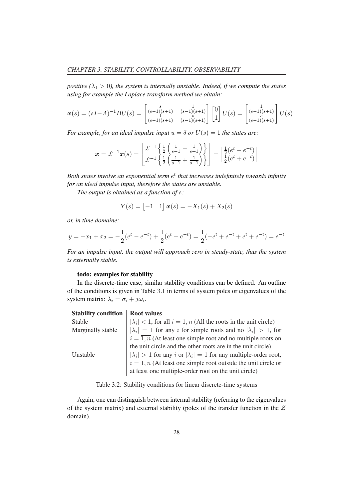*positive* ( $\lambda_1 > 0$ ), the system is internally unstable. Indeed, if we compute the states *using for example the Laplace transform method we obtain:*

$$
\boldsymbol{x}(s) = (sI - A)^{-1}BU(s) = \begin{bmatrix} \frac{s}{(s-1)(s+1)} & \frac{1}{(s-1)(s+1)} \\ \frac{1}{(s-1)(s+1)} & \frac{s}{(s-1)(s+1)} \end{bmatrix} \begin{bmatrix} 0 \\ 1 \end{bmatrix} U(s) = \begin{bmatrix} \frac{1}{(s-1)(s+1)} \\ \frac{s}{(s-1)(s+1)} \end{bmatrix} U(s)
$$

*For example, for an ideal impulse input*  $u = \delta$  *or*  $U(s) = 1$  *the states are:* 

$$
\mathbf{x} = \pounds^{-1}\mathbf{x}(s) = \begin{bmatrix} \pounds^{-1} \left\{ \frac{1}{2} \left( \frac{1}{s-1} - \frac{1}{s+1} \right) \right\} \\ \pounds^{-1} \left\{ \frac{1}{2} \left( \frac{1}{s-1} + \frac{1}{s+1} \right) \right\} \end{bmatrix} = \begin{bmatrix} \frac{1}{2} (e^t - e^{-t}) \\ \frac{1}{2} (e^t + e^{-t}) \end{bmatrix}
$$

Both states involve an exponential term  $e^t$  that increases indefinitely towards infinity *for an ideal impulse input, therefore the states are unstable.*

*The output is obtained as a function of* s*:*

$$
Y(s) = \begin{bmatrix} -1 & 1 \end{bmatrix} \mathbf{x}(s) = -X_1(s) + X_2(s)
$$

*or, in time domaine:*

$$
y = -x_1 + x_2 = -\frac{1}{2}(e^t - e^{-t}) + \frac{1}{2}(e^t + e^{-t}) = \frac{1}{2}(-e^t + e^{-t} + e^t + e^{-t}) = e^{-t}
$$

*For an impulse input, the output will approach zero in steady-state, thus the system is externally stable.*

#### todo: examples for stability

In the discrete-time case, similar stability conditions can be defined. An outline of the conditions is given in Table 3.1 in terms of system poles or eigenvalues of the system matrix:  $\lambda_i = \sigma_i + j\omega_i$ .

| <b>Stability condition</b> | <b>Root values</b>                                                                 |
|----------------------------|------------------------------------------------------------------------------------|
| Stable                     | $ \lambda_i $ < 1, for all $i = \overline{1,n}$ (All the roots in the unit circle) |
| Marginally stable          | $ \lambda_i  = 1$ for any i for simple roots and no $ \lambda_i  > 1$ , for        |
|                            | $i = \overline{1,n}$ (At least one simple root and no multiple roots on            |
|                            | the unit circle and the other roots are in the unit circle)                        |
| Unstable                   | $ \lambda_i  > 1$ for any i or $ \lambda_i  = 1$ for any multiple-order root,      |
|                            | $i = \overline{1,n}$ (At least one simple root outside the unit circle or          |
|                            | at least one multiple-order root on the unit circle)                               |

Table 3.2: Stability conditions for linear discrete-time systems

Again, one can distinguish between internal stability (referring to the eigenvalues of the system matrix) and external stability (poles of the transfer function in the  $Z$ domain).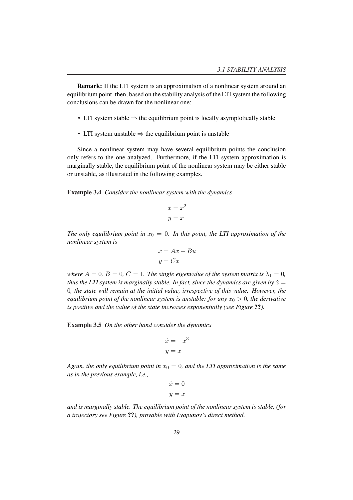Remark: If the LTI system is an approximation of a nonlinear system around an equilibrium point, then, based on the stability analysis of the LTI system the following conclusions can be drawn for the nonlinear one:

- LTI system stable  $\Rightarrow$  the equilibrium point is locally asymptotically stable
- LTI system unstable  $\Rightarrow$  the equilibrium point is unstable

Since a nonlinear system may have several equilibrium points the conclusion only refers to the one analyzed. Furthermore, if the LTI system approximation is marginally stable, the equilibrium point of the nonlinear system may be either stable or unstable, as illustrated in the following examples.

Example 3.4 *Consider the nonlinear system with the dynamics*

$$
\dot{x} = x^2
$$

$$
y = x
$$

*The only equilibrium point in*  $x_0 = 0$ *. In this point, the LTI approximation of the nonlinear system is*

$$
\begin{aligned}\n\dot{x} &= Ax + Bu \\
y &= Cx\n\end{aligned}
$$

*where*  $A = 0$ ,  $B = 0$ ,  $C = 1$ . The single eigenvalue of the system matrix is  $\lambda_1 = 0$ , *thus the LTI system is marginally stable. In fact, since the dynamics are given by*  $\dot{x} =$ 0*, the state will remain at the initial value, irrespective of this value. However, the equilibrium point of the nonlinear system is unstable: for any*  $x_0 > 0$ *, the derivative is positive and the value of the state increases exponentially (see Figure* ??*).*

Example 3.5 *On the other hand consider the dynamics*

$$
\begin{aligned}\n\dot{x} &= -x^3 \\
y &= x\n\end{aligned}
$$

*Again, the only equilibrium point in*  $x_0 = 0$ *, and the LTI approximation is the same as in the previous example, i.e.,*

$$
\dot{x} = 0
$$

$$
y = x
$$

*and is marginally stable. The equilibrium point of the nonlinear system is stable, (for a trajectory see Figure* ??*), provable with Lyapunov's direct method.*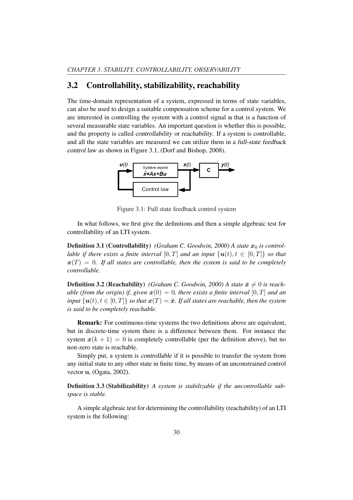#### 3.2 Controllability, stabilizability, reachability

The time-domain representation of a system, expressed in terms of state variables, can also be used to design a suitable compensation scheme for a control system. We are interested in controlling the system with a control signal u that is a function of several measurable state variables. An important question is whether this is possible, and the property is called controllability or reachability. If a system is controllable, and all the state variables are measured we can utilize them in a full-state feedback control law as shown in Figure 3.1, (Dorf and Bishop, 2008).



Figure 3.1: Full state feedback control system

In what follows, we first give the definitions and then a simple algebraic test for controllability of an LTI system.

**Definition 3.1 (Controllability)** *(Graham C. Goodwin, 2000) A state*  $x_0$  *is controllable if there exists a finite interval*  $[0, T]$  *and an input*  $\{u(t), t \in [0, T]\}$  *so that*  $x(T) = 0$ . If all states are controllable, then the system is said to be completely *controllable.*

**Definition 3.2 (Reachability)** *(Graham C. Goodwin, 2000) A state*  $\bar{x} \neq 0$  *is reachable (from the origin) if, given*  $x(0) = 0$ *, there exists a finite interval* [0, T] *and an input*  $\{u(t), t \in [0,T]\}$  *so that*  $x(T) = \bar{x}$ *. If all states are reachable, then the system is said to be completely reachable.*

Remark: For continuous-time systems the two definitions above are equivalent, but in discrete-time system there is a difference between them. For instance the system  $x(k + 1) = 0$  is completely controllable (per the definition above), but no non-zero state is reachable.

Simply put, a system is controllable if it is possible to transfer the system from any initial state to any other state in finite time, by means of an unconstrained control vector u, (Ogata, 2002).

Definition 3.3 (Stabilizability) *A system is stabilizable if the uncontrollable subspace is stable.*

A simple algebraic test for determining the controllability (reachability) of an LTI system is the following: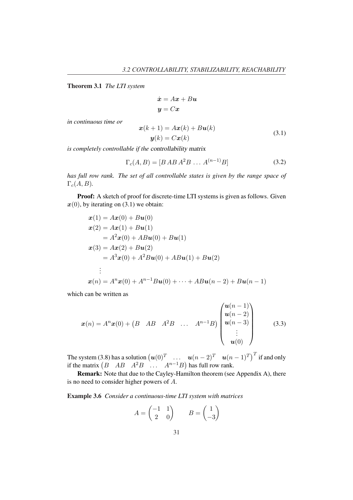Theorem 3.1 *The LTI system*

$$
\dot{x} = Ax + Bu
$$

$$
y = Cx
$$

*in continuous time or*

$$
\begin{aligned} \mathbf{x}(k+1) &= A\mathbf{x}(k) + B\mathbf{u}(k) \\ \mathbf{y}(k) &= C\mathbf{x}(k) \end{aligned} \tag{3.1}
$$

*is completely controllable if the* controllability matrix

$$
\Gamma_c(A, B) = [B \, AB \, A^2 B \, \dots \, A^{(n-1)} B] \tag{3.2}
$$

*has full row rank. The set of all controllable states is given by the range space of*  $\Gamma_c(A, B)$ .

Proof: A sketch of proof for discrete-time LTI systems is given as follows. Given  $x(0)$ , by iterating on (3.1) we obtain:

$$
x(1) = Ax(0) + Bu(0)
$$
  
\n
$$
x(2) = Ax(1) + Bu(1)
$$
  
\n
$$
= A2x(0) + ABu(0) + Bu(1)
$$
  
\n
$$
x(3) = Ax(2) + Bu(2)
$$
  
\n
$$
= A3x(0) + A2Bu(0) + ABu(1) + Bu(2)
$$
  
\n:  
\n:  
\n
$$
x(n) = Anx(0) + An-1Bu(0) + \dots + ABu(n-2) + Bu(n-1)
$$

which can be written as

$$
\boldsymbol{x}(n) = A^n \boldsymbol{x}(0) + \begin{pmatrix} B & AB & A^2B & \dots & A^{n-1}B \end{pmatrix} \begin{pmatrix} \boldsymbol{u}(n-1) \\ \boldsymbol{u}(n-2) \\ \boldsymbol{u}(n-3) \\ \vdots \\ \boldsymbol{u}(0) \end{pmatrix}
$$
(3.3)

The system (3.8) has a solution  $(u(0)^T$  ...  $u(n-2)^T$   $u(n-1)^T$  if and only if the matrix  $(B \ AB \ A^2B \ \dots \ A^{n-1}B)$  has full row rank. has full row rank.

Remark: Note that due to the Cayley-Hamilton theorem (see Appendix A), there is no need to consider higher powers of A.

Example 3.6 *Consider a continuous-time LTI system with matrices*

$$
A = \begin{pmatrix} -1 & 1 \\ 2 & 0 \end{pmatrix} \qquad B = \begin{pmatrix} 1 \\ -3 \end{pmatrix}
$$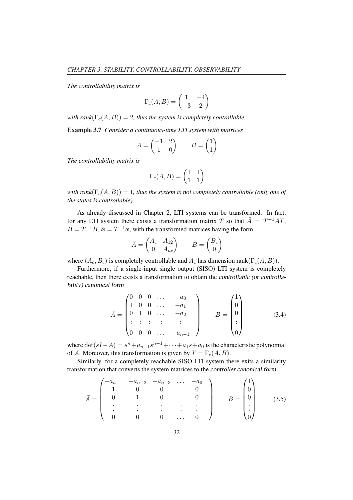*The controllability matrix is*

$$
\Gamma_c(A, B) = \begin{pmatrix} 1 & -4 \\ -3 & 2 \end{pmatrix}
$$

*with rank* $(\Gamma_c(A, B)) = 2$ , thus the system is completely controllable.

Example 3.7 *Consider a continuous-time LTI system with matrices*

$$
A = \begin{pmatrix} -1 & 2 \\ 1 & 0 \end{pmatrix} \qquad B = \begin{pmatrix} 1 \\ 1 \end{pmatrix}
$$

*The controllability matrix is*

$$
\Gamma_c(A, B) = \begin{pmatrix} 1 & 1 \\ 1 & 1 \end{pmatrix}
$$

*with rank* $(\Gamma_c(A, B)) = 1$ *, thus the system is not completely controllable (only one of the states is controllable).*

As already discussed in Chapter 2, LTI systems can be transformed. In fact, for any LTI system there exists a transformation matrix T so that  $\overline{A} = T^{-1}AT$ ,  $\bar{B} = T^{-1}B$ ,  $\bar{x} = T^{-1}x$ , with the transformed matrices having the form

$$
\bar{A} = \begin{pmatrix} A_c & A_{12} \\ 0 & A_{nc} \end{pmatrix} \qquad \bar{B} = \begin{pmatrix} B_c \\ 0 \end{pmatrix}
$$

where  $(A_c, B_c)$  is completely controllable and  $A_c$  has dimension rank( $\Gamma_c(A, B)$ ).

Furthermore, if a single-input single output (SISO) LTI system is completely reachable, then there exists a transformation to obtain the controllable (or controllability) canonical form

$$
\bar{A} = \begin{pmatrix} 0 & 0 & 0 & \dots & -a_0 \\ 1 & 0 & 0 & \dots & -a_1 \\ 0 & 1 & 0 & \dots & -a_2 \\ \vdots & \vdots & \vdots & \vdots & \vdots \\ 0 & 0 & 0 & \dots & -a_{n-1} \end{pmatrix} \qquad B = \begin{pmatrix} 1 \\ 0 \\ 0 \\ \vdots \\ 0 \end{pmatrix}
$$
(3.4)

where  $\det(sI - A) = s^n + a_{n-1}s^{n-1} + \cdots + a_1s + a_0$  is the characteristic polynomial of A. Moreover, this transformation is given by  $T = \Gamma_c(A, B)$ .

Similarly, for a completely reachable SISO LTI system there exits a similarity transformation that converts the system matrices to the controller canonical form

$$
\bar{A} = \begin{pmatrix}\n-a_{n-1} & -a_{n-2} & -a_{n-3} & \dots & -a_0 \\
1 & 0 & 0 & \dots & 0 \\
0 & 1 & 0 & \dots & 0 \\
\vdots & \vdots & \vdots & \vdots & \vdots \\
0 & 0 & 0 & \dots & 0\n\end{pmatrix} \qquad B = \begin{pmatrix}\n1 \\
0 \\
0 \\
\vdots \\
0\n\end{pmatrix}
$$
\n(3.5)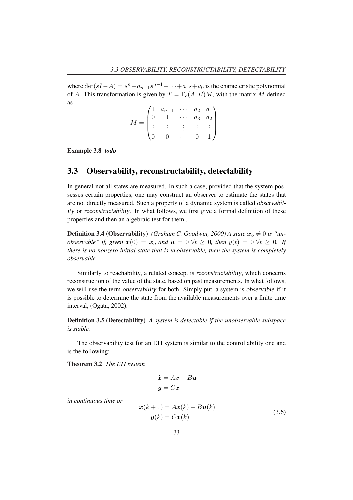where  $\det(sI - A) = s^n + a_{n-1}s^{n-1} + \cdots + a_1s + a_0$  is the characteristic polynomial of A. This transformation is given by  $T = \Gamma_c(A, B)M$ , with the matrix M defined as  $\overline{\phantom{a}}$  $\mathbf{r}$ 

$$
M = \begin{pmatrix} 1 & a_{n-1} & \cdots & a_2 & a_1 \\ 0 & 1 & \cdots & a_3 & a_2 \\ \vdots & \vdots & \vdots & \vdots & \vdots \\ 0 & 0 & \cdots & 0 & 1 \end{pmatrix}
$$

Example 3.8 *todo*

#### 3.3 Observability, reconstructability, detectability

In general not all states are measured. In such a case, provided that the system possesses certain properties, one may construct an observer to estimate the states that are not directly measured. Such a property of a dynamic system is called observability or reconstructability. In what follows, we first give a formal definition of these properties and then an algebraic test for them .

**Definition 3.4 (Observability)** *(Graham C. Goodwin, 2000) A state*  $x_o \neq 0$  *is "unobservable" if, given*  $x(0) = x_o$  *and*  $u = 0 \forall t \ge 0$ *, then*  $y(t) = 0 \forall t \ge 0$ *. If there is no nonzero initial state that is unobservable, then the system is completely observable.*

Similarly to reachability, a related concept is reconstructability, which concerns reconstruction of the value of the state, based on past measurements. In what follows, we will use the term observability for both. Simply put, a system is observable if it is possible to determine the state from the available measurements over a finite time interval, (Ogata, 2002).

Definition 3.5 (Detectability) *A system is detectable if the unobservable subspace is stable.*

The observability test for an LTI system is similar to the controllability one and is the following:

Theorem 3.2 *The LTI system*

$$
\dot{x} = Ax + Bu
$$

$$
y = Cx
$$

*in continuous time or*

$$
\mathbf{x}(k+1) = A\mathbf{x}(k) + B\mathbf{u}(k)
$$
  

$$
\mathbf{y}(k) = C\mathbf{x}(k)
$$
 (3.6)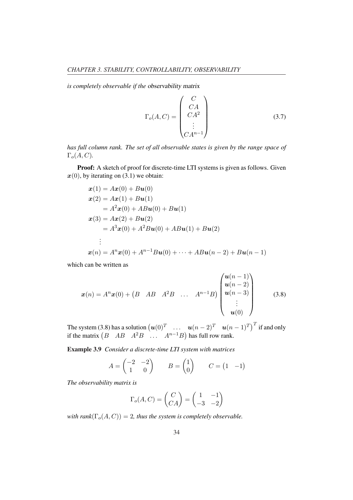*is completely observable if the* observability matrix

$$
\Gamma_o(A, C) = \begin{pmatrix} C \\ CA \\ CA^2 \\ \vdots \\ CA^{n-1} \end{pmatrix}
$$
 (3.7)

*has full column rank. The set of all observable states is given by the range space of*  $\Gamma_o(A, C)$ .

Proof: A sketch of proof for discrete-time LTI systems is given as follows. Given  $x(0)$ , by iterating on (3.1) we obtain:

$$
\begin{aligned}\n\mathbf{x}(1) &= A\mathbf{x}(0) + B\mathbf{u}(0) \\
\mathbf{x}(2) &= A\mathbf{x}(1) + B\mathbf{u}(1) \\
&= A^2\mathbf{x}(0) + AB\mathbf{u}(0) + B\mathbf{u}(1) \\
\mathbf{x}(3) &= A\mathbf{x}(2) + B\mathbf{u}(2) \\
&= A^3\mathbf{x}(0) + A^2B\mathbf{u}(0) + AB\mathbf{u}(1) + B\mathbf{u}(2) \\
&\vdots \\
\mathbf{x}(n) &= A^n\mathbf{x}(0) + A^{n-1}B\mathbf{u}(0) + \dots + AB\mathbf{u}(n-2) + B\mathbf{u}(n-1)\n\end{aligned}
$$

which can be written as

$$
\boldsymbol{x}(n) = A^{n}\boldsymbol{x}(0) + (B \ AB \ A^{2}B \ \dots \ A^{n-1}B) \begin{pmatrix} \boldsymbol{u}(n-1) \\ \boldsymbol{u}(n-2) \\ \boldsymbol{u}(n-3) \\ \vdots \\ \boldsymbol{u}(0) \end{pmatrix}
$$
(3.8)

The system (3.8) has a solution  $(u(0)^T$  ...  $u(n-2)^T$   $u(n-1)^T$  if and only if the matrix  $(B \ AB \ A^2B \ \dots \ A^{n-1}B)$  has full row rank. has full row rank.

Example 3.9 *Consider a discrete-time LTI system with matrices*

$$
A = \begin{pmatrix} -2 & -2 \\ 1 & 0 \end{pmatrix} \qquad B = \begin{pmatrix} 1 \\ 0 \end{pmatrix} \qquad C = \begin{pmatrix} 1 & -1 \end{pmatrix}
$$

*The observability matrix is*

$$
\Gamma_o(A, C) = \begin{pmatrix} C \\ CA \end{pmatrix} = \begin{pmatrix} 1 & -1 \\ -3 & -2 \end{pmatrix}
$$

*with rank* $(\Gamma_o(A, C)) = 2$ *, thus the system is completely observable.*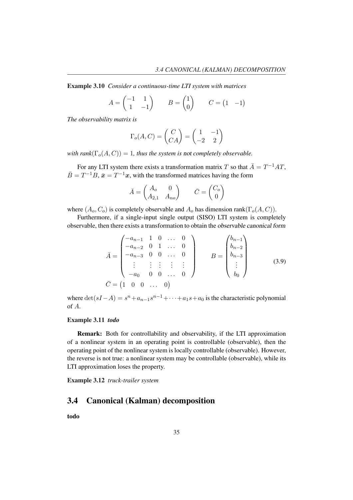Example 3.10 *Consider a continuous-time LTI system with matrices*

$$
A = \begin{pmatrix} -1 & 1 \\ 1 & -1 \end{pmatrix} \qquad B = \begin{pmatrix} 1 \\ 0 \end{pmatrix} \qquad C = \begin{pmatrix} 1 & -1 \end{pmatrix}
$$

*The observability matrix is*

$$
\Gamma_o(A, C) = \begin{pmatrix} C \\ CA \end{pmatrix} = \begin{pmatrix} 1 & -1 \\ -2 & 2 \end{pmatrix}
$$

*with rank* $(\Gamma_{o}(A, C)) = 1$ *, thus the system is not completely observable.* 

For any LTI system there exists a transformation matrix T so that  $\overline{A} = T^{-1}AT$ ,  $\bar{B} = T^{-1}B$ ,  $\bar{x} = T^{-1}x$ , with the transformed matrices having the form

$$
\bar{A} = \begin{pmatrix} A_o & 0 \\ A_{2,1} & A_{no} \end{pmatrix} \qquad \bar{C} = \begin{pmatrix} C_o \\ 0 \end{pmatrix}
$$

where  $(A_o, C_o)$  is completely observable and  $A_o$  has dimension rank $(\Gamma_o(A, C))$ .

Furthermore, if a single-input single output (SISO) LTI system is completely observable, then there exists a transformation to obtain the observable canonical form

$$
\bar{A} = \begin{pmatrix}\n-a_{n-1} & 1 & 0 & \dots & 0 \\
-a_{n-2} & 0 & 1 & \dots & 0 \\
-a_{n-3} & 0 & 0 & \dots & 0 \\
\vdots & \vdots & \vdots & \vdots & \vdots \\
-a_0 & 0 & 0 & \dots & 0\n\end{pmatrix} \qquad B = \begin{pmatrix}\nb_{n-1} \\
b_{n-2} \\
b_{n-3} \\
\vdots \\
b_0\n\end{pmatrix}
$$
\n(3.9)\n
$$
\bar{C} = \begin{pmatrix}\n1 & 0 & 0 & \dots & 0\n\end{pmatrix}
$$

where  $\det(sI - A) = s^n + a_{n-1}s^{n-1} + \cdots + a_1s + a_0$  is the characteristic polynomial of A.

#### Example 3.11 *todo*

Remark: Both for controllability and observability, if the LTI approximation of a nonlinear system in an operating point is controllable (observable), then the operating point of the nonlinear system is locally controllable (observable). However, the reverse is not true: a nonlinear system may be controllable (observable), while its LTI approximation loses the property.

Example 3.12 *truck-trailer system*

## 3.4 Canonical (Kalman) decomposition

todo